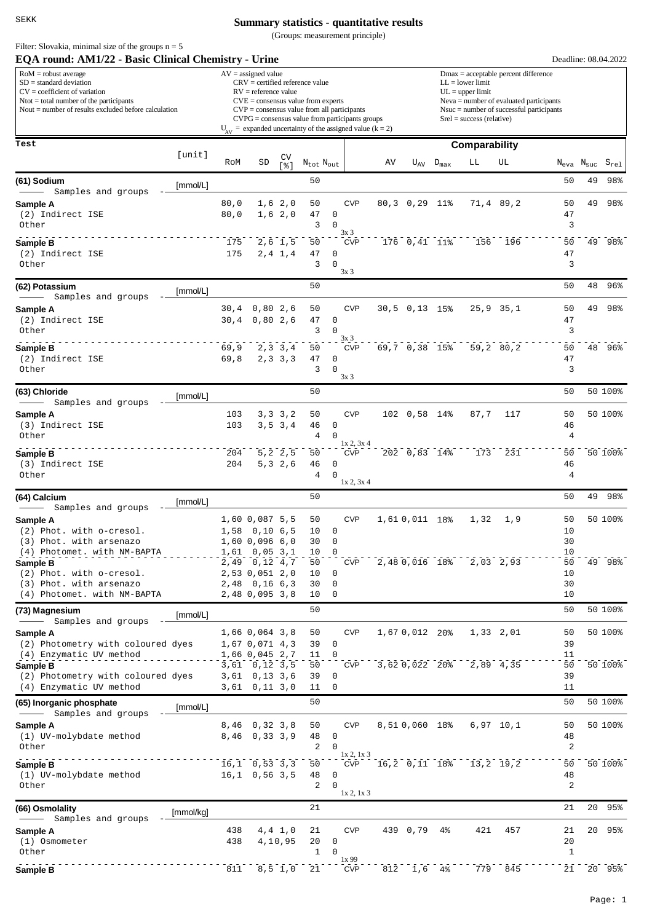Filter: Slovakia, minimal size of the groups  $n = 5$ 

## **Summary statistics - quantitative results**

(Groups: measurement principle)

| EQA round: AM1/22 - Basic Clinical Chemistry - Urine                                                                                                                                           |           |                |                                                                                                                                                                                                                                                                                                                          |                          |                            |                                                          |                                        |    |                                                                                                                                                                                                               |                    |                         |                 |                |                                     | Deadline: 08.04.2022        |  |  |
|------------------------------------------------------------------------------------------------------------------------------------------------------------------------------------------------|-----------|----------------|--------------------------------------------------------------------------------------------------------------------------------------------------------------------------------------------------------------------------------------------------------------------------------------------------------------------------|--------------------------|----------------------------|----------------------------------------------------------|----------------------------------------|----|---------------------------------------------------------------------------------------------------------------------------------------------------------------------------------------------------------------|--------------------|-------------------------|-----------------|----------------|-------------------------------------|-----------------------------|--|--|
| $RoM =$ robust average<br>$SD = standard deviation$<br>$CV = coefficient of variation$<br>$N$ tot = total number of the participants<br>Nout $=$ number of results excluded before calculation |           |                | $AV = assigned value$<br>$CRV =$ certified reference value<br>$RV =$ reference value<br>$CVE = \text{consensus value from experts}$<br>$CVP = \text{consensus value from all participants}$<br>$CVPG = \text{consensus value from participants groups}$<br>$U_{AV}$ = expanded uncertainty of the assigned value (k = 2) |                          |                            |                                                          |                                        |    | $Dmax = acceptable percent difference$<br>$LL = lower limit$<br>$UL = upper limit$<br>$Neva = number of evaluated participants$<br>$N$ suc = number of successful participants<br>$Srel = success (relative)$ |                    |                         |                 |                |                                     |                             |  |  |
| Test                                                                                                                                                                                           |           |                |                                                                                                                                                                                                                                                                                                                          |                          |                            |                                                          |                                        |    | Comparability                                                                                                                                                                                                 |                    |                         |                 |                |                                     |                             |  |  |
|                                                                                                                                                                                                | [unit]    | RoM            | SD                                                                                                                                                                                                                                                                                                                       | CV<br>s <sub>1</sub>     | $N_{tot}$ $N_{out}$        |                                                          |                                        | AV |                                                                                                                                                                                                               | $U_{AV}$ $D_{max}$ | LЬ                      | UL              |                | $\rm N_{\rm eva}$ $\rm N_{\rm suc}$ | $\mathtt{S}_{\mathtt{rel}}$ |  |  |
| (61) Sodium<br>Samples and groups                                                                                                                                                              | [mmol/L]  |                |                                                                                                                                                                                                                                                                                                                          |                          | 50                         |                                                          |                                        |    |                                                                                                                                                                                                               |                    |                         |                 | 50             | 49                                  | 98%                         |  |  |
| Sample A<br>(2) Indirect ISE<br>Other                                                                                                                                                          |           | 80,0<br>80,0   |                                                                                                                                                                                                                                                                                                                          | 1,6,2,0<br>1, 6, 2, 0    | 50<br>47<br>3              | <b>CVP</b><br>$\mathsf 0$<br>$\Omega$<br>3x3             |                                        |    | 80, 30, 29                                                                                                                                                                                                    | 11%                |                         | 71,4 89,2       | 50<br>47<br>3  | 49                                  | 98%                         |  |  |
| Sample B<br>(2) Indirect ISE<br>Other                                                                                                                                                          |           | 175<br>175     |                                                                                                                                                                                                                                                                                                                          | $2,6$ 1,5<br>$2, 4$ 1, 4 | 50<br>47<br>3              | 0<br>$\mathbf 0$<br>3x3                                  | <b>CVP</b>                             |    | $176$ 0, 41 11%                                                                                                                                                                                               |                    | 156                     | 196             | 50<br>47<br>3  |                                     | 49 98%                      |  |  |
| (62) Potassium<br>Samples and groups                                                                                                                                                           | [mmol/L]  |                |                                                                                                                                                                                                                                                                                                                          |                          | 50                         |                                                          |                                        |    |                                                                                                                                                                                                               |                    |                         |                 | 50             | 48                                  | 96%                         |  |  |
| Sample A<br>(2) Indirect ISE<br>Other                                                                                                                                                          |           | 30, 4<br>30, 4 | 0,80,2,6<br>0,80,2,6                                                                                                                                                                                                                                                                                                     |                          | 50<br>47<br>3              | <b>CVP</b><br>$\mathsf 0$<br>$\Omega$<br>3x3             |                                        |    | $30,5$ 0,13 15%                                                                                                                                                                                               |                    |                         | $25, 9$ $35, 1$ | 50<br>47<br>3  | 49                                  | 98%                         |  |  |
| Sample B<br>(2) Indirect ISE<br>Other                                                                                                                                                          |           | 69,9<br>69,8   |                                                                                                                                                                                                                                                                                                                          | 2, 3, 3, 4<br>2, 3, 3, 3 | 50<br>47<br>3              | <b>CVP</b><br>$\mathbf 0$<br>$\Omega$<br>3x <sub>3</sub> |                                        |    | $69,7$ 0,38 15%                                                                                                                                                                                               |                    |                         | 59,2 80,2       | 50<br>47<br>3  |                                     | 48 96%                      |  |  |
| (63) Chloride<br>Samples and groups                                                                                                                                                            | [mmol/L]  |                |                                                                                                                                                                                                                                                                                                                          |                          | 50                         |                                                          |                                        |    |                                                                                                                                                                                                               |                    |                         |                 | 50             |                                     | 50 100%                     |  |  |
| Sample A<br>(3) Indirect ISE<br>Other                                                                                                                                                          |           | 103<br>103     |                                                                                                                                                                                                                                                                                                                          | 3, 3, 3, 2<br>3, 5, 3, 4 | 50<br>46<br>$\overline{4}$ | $\mathsf 0$<br>$\mathbf 0$                               | <b>CVP</b>                             |    | 102 0,58 14%                                                                                                                                                                                                  |                    | 87,7                    | 117             | 50<br>46<br>4  |                                     | 50 100%                     |  |  |
| Sample B<br>(3) Indirect ISE<br>Other                                                                                                                                                          |           | 204<br>204     |                                                                                                                                                                                                                                                                                                                          | 5, 2, 2, 5<br>5, 3, 2, 6 | 50<br>46<br>4              | $\mathbf 0$<br>$\Omega$                                  | 1x 2, 3x 4<br><b>CVP</b><br>1x 2, 3x 4 |    | 202 0,83 14%                                                                                                                                                                                                  |                    | 173                     | 231             | 50<br>46<br>4  |                                     | 50 100%                     |  |  |
| (64) Calcium                                                                                                                                                                                   | [mmol/L]  |                |                                                                                                                                                                                                                                                                                                                          |                          | 50                         |                                                          |                                        |    |                                                                                                                                                                                                               |                    |                         |                 | 50             | 49                                  | 98%                         |  |  |
| Samples and groups<br>Sample A                                                                                                                                                                 |           |                | 1,60 0,087 5,5                                                                                                                                                                                                                                                                                                           |                          | 50                         | <b>CVP</b>                                               |                                        |    | 1,61 0,011 18%                                                                                                                                                                                                |                    | 1,32                    | 1,9             | 50             |                                     | 50 100%                     |  |  |
| (2) Phot. with o-cresol.<br>(3) Phot, with arsenazo<br>(4) Photomet. with NM-BAPTA                                                                                                             |           |                | 1,58 0,10 6,5<br>1,60 0,096 6,0<br>$1,61$ 0,05 3,1                                                                                                                                                                                                                                                                       |                          | 10<br>30<br>10             | 0<br>$\mathbf 0$<br>$\mathbf 0$                          |                                        |    |                                                                                                                                                                                                               |                    |                         |                 | 10<br>30<br>10 |                                     |                             |  |  |
| Sample B<br>(2) Phot. with o-cresol.<br>(3) Phot. with arsenazo                                                                                                                                |           |                | 2,49 0,12 4,7<br>2,53 0,051 2,0<br>2,48 0,16 6,3                                                                                                                                                                                                                                                                         |                          | 50<br>10<br>30             | 0<br>0                                                   | <b>CVP</b>                             |    |                                                                                                                                                                                                               | 2,48 0,016 18%     |                         | $2,03$ 2,93     | 50<br>10<br>30 |                                     | 49 98%                      |  |  |
| (4) Photomet. with NM-BAPTA<br>(73) Magnesium                                                                                                                                                  |           |                | 2,48 0,095 3,8                                                                                                                                                                                                                                                                                                           |                          | 10<br>50                   | 0                                                        |                                        |    |                                                                                                                                                                                                               |                    |                         |                 | 10<br>50       |                                     | 50 100%                     |  |  |
| Samples and groups<br>Sample A<br>(2) Photometry with coloured dyes                                                                                                                            | [mmol/L]  |                | 1,66 0,064 3,8<br>1,67 0,071 4,3                                                                                                                                                                                                                                                                                         |                          | 50<br>39                   | $\mathbf 0$                                              | <b>CVP</b>                             |    | 1,67 0,012 20%                                                                                                                                                                                                |                    |                         | $1,33$ $2,01$   | 50<br>39       |                                     | 50 100%                     |  |  |
| (4) Enzymatic UV method<br>Sample B<br>(2) Photometry with coloured dyes                                                                                                                       |           |                | 1,66 0,045 2,7<br>$3,61$ 0, 12 3, 5<br>$3,61$ 0,13 3,6                                                                                                                                                                                                                                                                   |                          | 11<br>50<br>39             | $\Omega$<br>0                                            | <b>CVP</b>                             |    |                                                                                                                                                                                                               | 3,620,022 20%      |                         | 2,89 4,35       | 11<br>50<br>39 |                                     | 50 100%                     |  |  |
| (4) Enzymatic UV method<br>(65) Inorganic phosphate                                                                                                                                            | [mmol/L]  |                | $3,61$ 0, 11 3, 0                                                                                                                                                                                                                                                                                                        |                          | 11<br>50                   | $\mathbf 0$                                              |                                        |    |                                                                                                                                                                                                               |                    |                         |                 | 11<br>50       |                                     | 50 100%                     |  |  |
| Samples and groups<br>Sample A<br>(1) UV-molybdate method                                                                                                                                      |           |                | 8,46 0,32 3,8<br>8,46 0,33 3,9                                                                                                                                                                                                                                                                                           |                          | 50<br>48                   | 0                                                        | <b>CVP</b>                             |    | 8,510,060 18%                                                                                                                                                                                                 |                    |                         | $6,97$ 10,1     | 50<br>48       |                                     | 50 100%                     |  |  |
| Other                                                                                                                                                                                          |           |                |                                                                                                                                                                                                                                                                                                                          |                          | 2                          | $\Omega$                                                 | 1x 2, 1x 3                             |    |                                                                                                                                                                                                               |                    |                         |                 | 2              |                                     |                             |  |  |
| Sample B<br>(1) UV-molybdate method<br>Other                                                                                                                                                   |           |                | $16, 1$ 0,53 3,3<br>$16, 1$ 0,56 3,5                                                                                                                                                                                                                                                                                     |                          | 50<br>48<br>2              | $\mathbf 0$<br>$\Omega$                                  | CVP<br>1x 2, 1x 3                      |    |                                                                                                                                                                                                               |                    | 16,2 0,11 18% 13,2 19,2 |                 | 50<br>48<br>2  |                                     | 50 100%                     |  |  |
| (66) Osmolality                                                                                                                                                                                | [mmol/kg] |                |                                                                                                                                                                                                                                                                                                                          |                          | 21                         |                                                          |                                        |    |                                                                                                                                                                                                               |                    |                         |                 | 21             |                                     | 20 95%                      |  |  |
| Samples and groups<br>Sample A<br>(1) Osmometer<br>Other                                                                                                                                       |           | 438<br>438     |                                                                                                                                                                                                                                                                                                                          | 4, 4, 1, 0<br>4,10,95    | 21<br>20<br>$\mathbf{1}$   | $\mathbf 0$<br>$\Omega$                                  | <b>CVP</b>                             |    | 439 0,79                                                                                                                                                                                                      | 4%                 | 421                     | 457             | 21<br>20<br>1  |                                     | 20 95%                      |  |  |
| Sample B                                                                                                                                                                                       |           | 811            |                                                                                                                                                                                                                                                                                                                          | $8, 5 \t1, 0$            | 21                         | 1x99                                                     | <b>CVP</b>                             |    | 812 1,6 4%                                                                                                                                                                                                    |                    |                         | 779 845         |                |                                     | 21 20 95%                   |  |  |